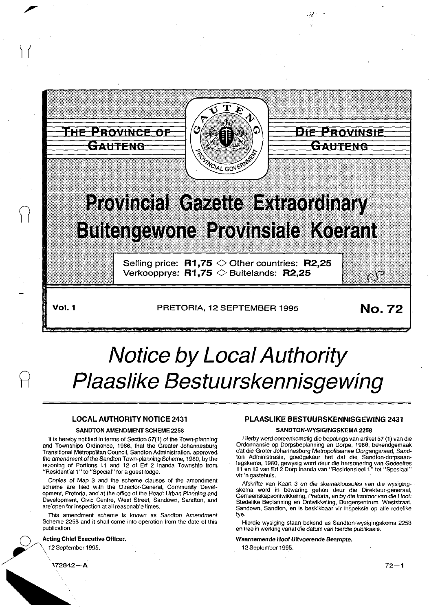

# **Notice by Local Authority Plaaslike Bestuurskennisgewing**

### LOCAL AUTHORITY NOTICE 2431

#### SANDTON AMENDMENT SCHEME 2258

It is hereby notified in terms of Section 57(1) of the Town-planning and Townships Ordinance, 1986, that the Greater Johannesburg Transitional Metropolitan Council, Sandton Administration, approved the amendment of the Sandton Town-planning Scheme, 1980, by the rezoning of Portions 11 and 12 of Erf 2 lnanda Township from "Residential 1" to "Special" for a guest lodge.

Copies of Map 3 and the scheme clauses of the amendment scheme are filed with the Director-General, Community Development, Pretoria, and at the office of the Head: Urban Planning and Development, Civic Centre, West Street, Sandown, Sandton, and are'open for inspection at all reasonable times.

This amendment scheme is known as Sandton Amendment Scheme 2258 and it shall come into operation from the date of this publication.

#### Acting Chief Executive Officer.

~/\ 12September1995.

#### PLAASLIKE BESTUURSKENNISGEWING 2431

.<br>ميا

#### SANDTON-WYSIGINGSKEMA 2256

Hierby word ooreenkomstig die bepalings van artikel57 (1) van die Ordonnansie op Dorpsbeplanning en Dorpe, 1986, bekendgemaak dat die Groter Johannesburg Metropolitaanse Oorgangsraad, Sandton Administrasie, goedgekeur het dat die Sandton-dorpsaanlegskema, 1980, gewysig word deur die hersonering van Gedeeltes 11 en 12 van Erf 2 Dorp lnanda van "Residensieel1" tot "Spesiaal" vir 'n gastehuis.

Afskrifte van Kaart 3 en die skemaklousules van die wysigingskema word in bewaring gehou deur die Direkteur-generaal, Gemeenskapsontwikkeling, Pretoria, en by die kantoor van die Hoof: Stedelike Beplanning en Ontwikkeling, Burgersentrum, Weststraat, Sandown, Sandton, en is beskikbaar vir inspeksie op alle redelike lye.

Hierdie wysiging staan bekend as Sandton-wysigingskema 2258 en tree in werking vanafdie datum van hierdie publikasie.

#### Waarnemende Hoof Uitvoerende Beampte.

12 September 1995.

172842— **A** 

1 f

R